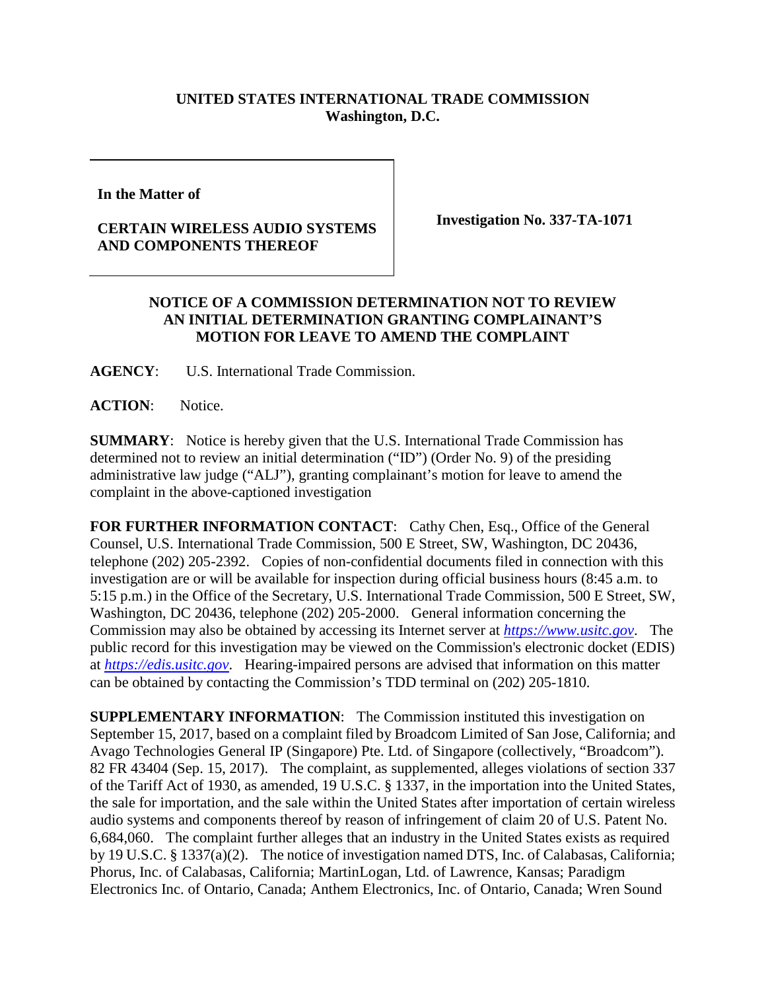## **UNITED STATES INTERNATIONAL TRADE COMMISSION Washington, D.C.**

**In the Matter of** 

## **CERTAIN WIRELESS AUDIO SYSTEMS AND COMPONENTS THEREOF**

**Investigation No. 337-TA-1071**

## **NOTICE OF A COMMISSION DETERMINATION NOT TO REVIEW AN INITIAL DETERMINATION GRANTING COMPLAINANT'S MOTION FOR LEAVE TO AMEND THE COMPLAINT**

**AGENCY**: U.S. International Trade Commission.

**ACTION**: Notice.

**SUMMARY**: Notice is hereby given that the U.S. International Trade Commission has determined not to review an initial determination ("ID") (Order No. 9) of the presiding administrative law judge ("ALJ"), granting complainant's motion for leave to amend the complaint in the above-captioned investigation

FOR FURTHER INFORMATION CONTACT: Cathy Chen, Esq., Office of the General Counsel, U.S. International Trade Commission, 500 E Street, SW, Washington, DC 20436, telephone (202) 205-2392. Copies of non-confidential documents filed in connection with this investigation are or will be available for inspection during official business hours (8:45 a.m. to 5:15 p.m.) in the Office of the Secretary, U.S. International Trade Commission, 500 E Street, SW, Washington, DC 20436, telephone (202) 205-2000. General information concerning the Commission may also be obtained by accessing its Internet server at *[https://www.usitc.gov](https://www.usitc.gov/)*. The public record for this investigation may be viewed on the Commission's electronic docket (EDIS) at *[https://edis.usitc.gov](https://edis.usitc.gov/)*. Hearing-impaired persons are advised that information on this matter can be obtained by contacting the Commission's TDD terminal on (202) 205-1810.

**SUPPLEMENTARY INFORMATION:** The Commission instituted this investigation on September 15, 2017, based on a complaint filed by Broadcom Limited of San Jose, California; and Avago Technologies General IP (Singapore) Pte. Ltd. of Singapore (collectively, "Broadcom"). 82 FR 43404 (Sep. 15, 2017). The complaint, as supplemented, alleges violations of section 337 of the Tariff Act of 1930, as amended, 19 U.S.C. § 1337, in the importation into the United States, the sale for importation, and the sale within the United States after importation of certain wireless audio systems and components thereof by reason of infringement of claim 20 of U.S. Patent No. 6,684,060. The complaint further alleges that an industry in the United States exists as required by 19 U.S.C. § 1337(a)(2). The notice of investigation named DTS, Inc. of Calabasas, California; Phorus, Inc. of Calabasas, California; MartinLogan, Ltd. of Lawrence, Kansas; Paradigm Electronics Inc. of Ontario, Canada; Anthem Electronics, Inc. of Ontario, Canada; Wren Sound